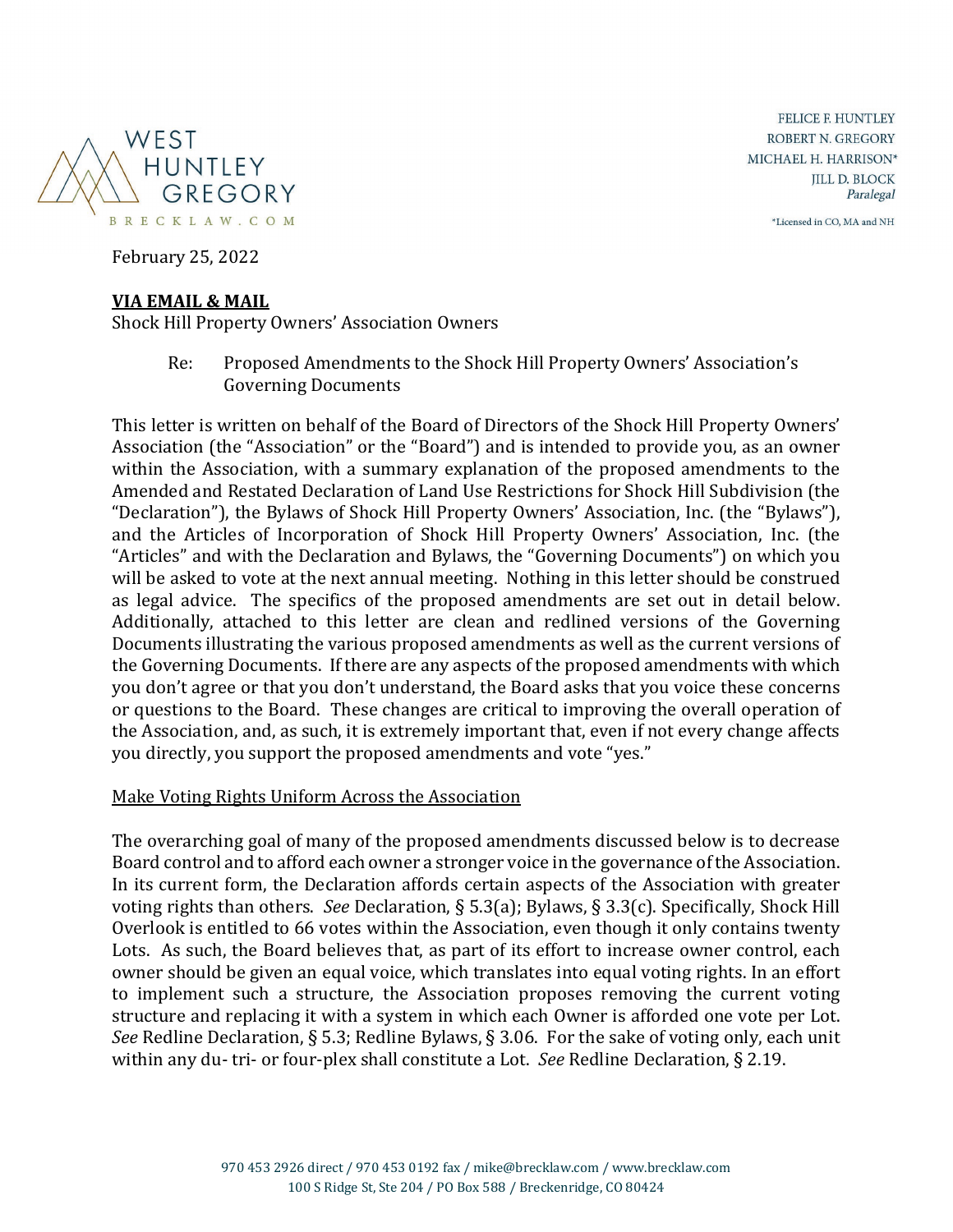

**FELICE F. HUNTLEY** ROBERT N. GREGORY MICHAEL H. HARRISON\* **JILL D. BLOCK** Paralegal

\*Licensed in CO, MA and NH

February 25, 2022

#### **VIA EMAIL & MAIL**

Shock Hill Property Owners' Association Owners

Re: Proposed Amendments to the Shock Hill Property Owners' Association's Governing Documents

This letter is written on behalf of the Board of Directors of the Shock Hill Property Owners' Association (the "Association" or the "Board") and is intended to provide you, as an owner within the Association, with a summary explanation of the proposed amendments to the Amended and Restated Declaration of Land Use Restrictions for Shock Hill Subdivision (the "Declaration"), the Bylaws of Shock Hill Property Owners' Association, Inc. (the "Bylaws"), and the Articles of Incorporation of Shock Hill Property Owners' Association, Inc. (the "Articles" and with the Declaration and Bylaws, the "Governing Documents") on which you will be asked to vote at the next annual meeting. Nothing in this letter should be construed as legal advice. The specifics of the proposed amendments are set out in detail below. Additionally, attached to this letter are clean and redlined versions of the Governing Documents illustrating the various proposed amendments as well as the current versions of the Governing Documents. If there are any aspects of the proposed amendments with which you don't agree or that you don't understand, the Board asks that you voice these concerns or questions to the Board. These changes are critical to improving the overall operation of the Association, and, as such, it is extremely important that, even if not every change affects you directly, you support the proposed amendments and vote "yes."

#### Make Voting Rights Uniform Across the Association

The overarching goal of many of the proposed amendments discussed below is to decrease Board control and to afford each owner a stronger voice in the governance of the Association. In its current form, the Declaration affords certain aspects of the Association with greater voting rights than others. *See* Declaration, § 5.3(a); Bylaws, § 3.3(c). Specifically, Shock Hill Overlook is entitled to 66 votes within the Association, even though it only contains twenty Lots. As such, the Board believes that, as part of its effort to increase owner control, each owner should be given an equal voice, which translates into equal voting rights. In an effort to implement such a structure, the Association proposes removing the current voting structure and replacing it with a system in which each Owner is afforded one vote per Lot. *See* Redline Declaration, § 5.3; Redline Bylaws, § 3.06. For the sake of voting only, each unit within any du- tri- or four-plex shall constitute a Lot. *See* Redline Declaration, § 2.19.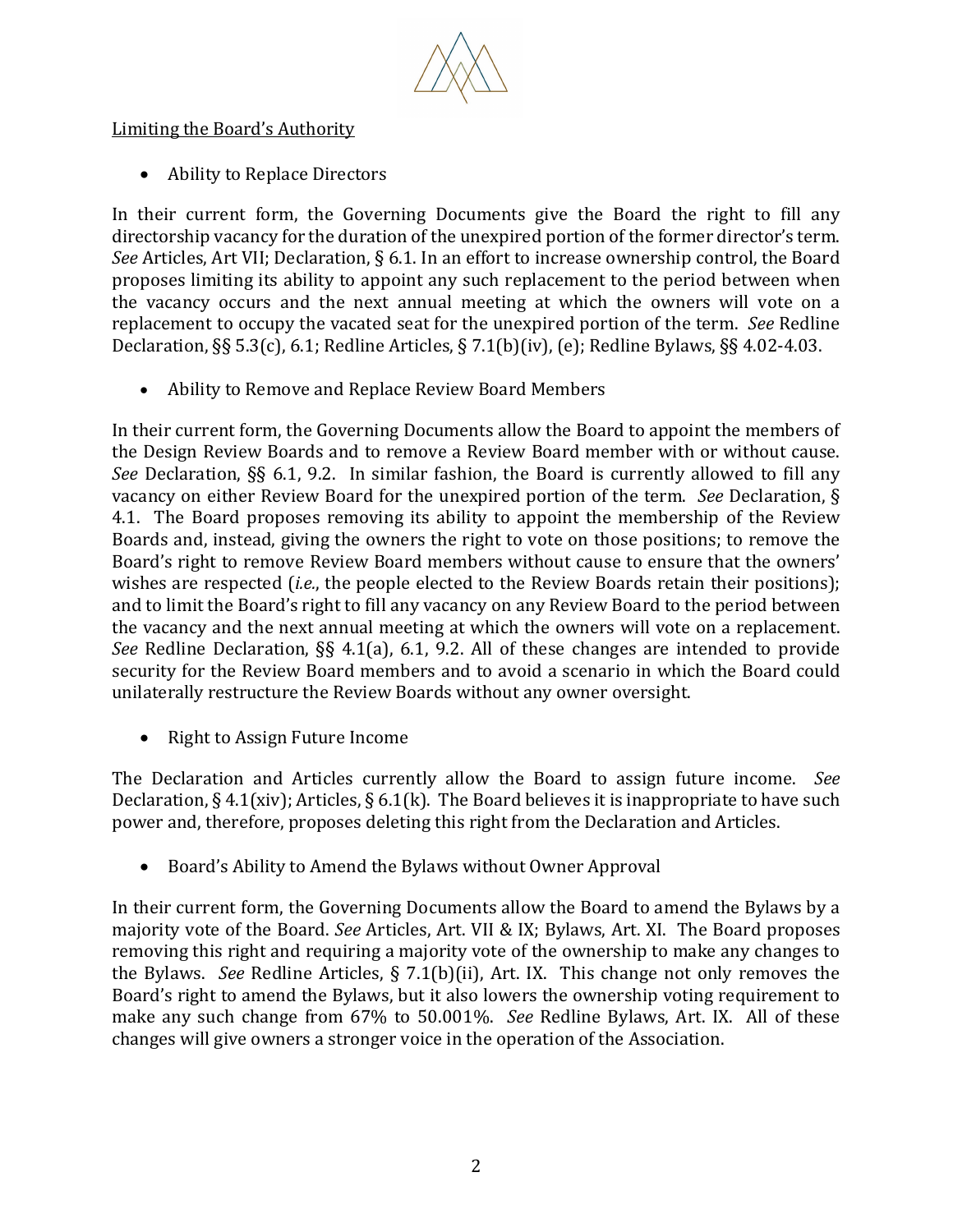

Limiting the Board's Authority

• Ability to Replace Directors

In their current form, the Governing Documents give the Board the right to fill any directorship vacancy for the duration of the unexpired portion of the former director's term. *See* Articles, Art VII; Declaration, § 6.1. In an effort to increase ownership control, the Board proposes limiting its ability to appoint any such replacement to the period between when the vacancy occurs and the next annual meeting at which the owners will vote on a replacement to occupy the vacated seat for the unexpired portion of the term. *See* Redline Declaration, §§ 5.3(c), 6.1; Redline Articles, § 7.1(b)(iv), (e); Redline Bylaws, §§ 4.02-4.03.

• Ability to Remove and Replace Review Board Members

In their current form, the Governing Documents allow the Board to appoint the members of the Design Review Boards and to remove a Review Board member with or without cause. *See* Declaration, §§ 6.1, 9.2. In similar fashion, the Board is currently allowed to fill any vacancy on either Review Board for the unexpired portion of the term. *See* Declaration, § 4.1. The Board proposes removing its ability to appoint the membership of the Review Boards and, instead, giving the owners the right to vote on those positions; to remove the Board's right to remove Review Board members without cause to ensure that the owners' wishes are respected (*i.e.*, the people elected to the Review Boards retain their positions); and to limit the Board's right to fill any vacancy on any Review Board to the period between the vacancy and the next annual meeting at which the owners will vote on a replacement. *See* Redline Declaration, §§ 4.1(a), 6.1, 9.2. All of these changes are intended to provide security for the Review Board members and to avoid a scenario in which the Board could unilaterally restructure the Review Boards without any owner oversight.

• Right to Assign Future Income

The Declaration and Articles currently allow the Board to assign future income. *See*  Declaration, § 4.1(xiv); Articles, § 6.1(k). The Board believes it is inappropriate to have such power and, therefore, proposes deleting this right from the Declaration and Articles.

• Board's Ability to Amend the Bylaws without Owner Approval

In their current form, the Governing Documents allow the Board to amend the Bylaws by a majority vote of the Board. *See* Articles, Art. VII & IX; Bylaws, Art. XI. The Board proposes removing this right and requiring a majority vote of the ownership to make any changes to the Bylaws. *See* Redline Articles, § 7.1(b)(ii), Art. IX. This change not only removes the Board's right to amend the Bylaws, but it also lowers the ownership voting requirement to make any such change from 67% to 50.001%. *See* Redline Bylaws, Art. IX. All of these changes will give owners a stronger voice in the operation of the Association.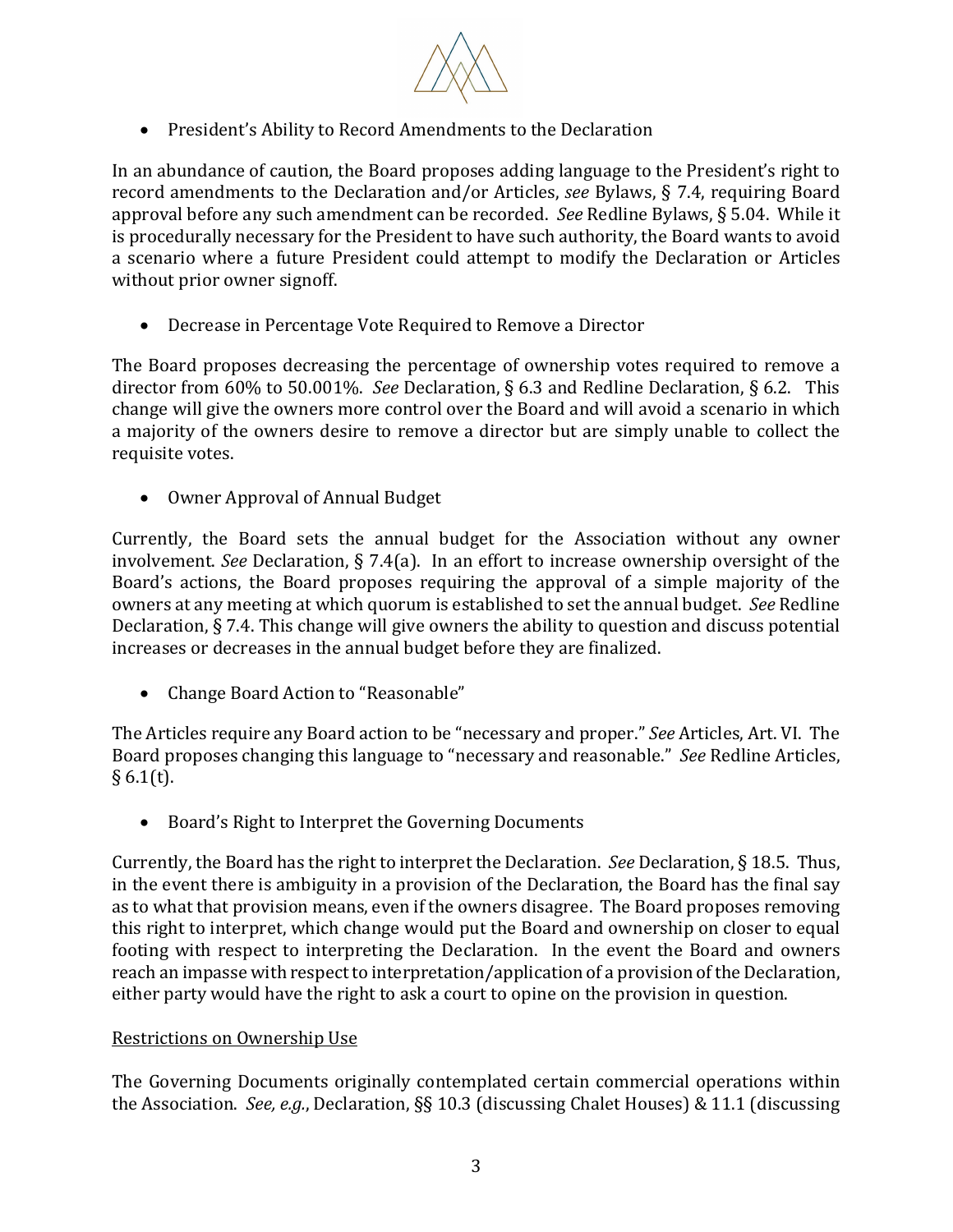

• President's Ability to Record Amendments to the Declaration

In an abundance of caution, the Board proposes adding language to the President's right to record amendments to the Declaration and/or Articles, *see* Bylaws, § 7.4, requiring Board approval before any such amendment can be recorded. *See* Redline Bylaws, § 5.04. While it is procedurally necessary for the President to have such authority, the Board wants to avoid a scenario where a future President could attempt to modify the Declaration or Articles without prior owner signoff.

• Decrease in Percentage Vote Required to Remove a Director

The Board proposes decreasing the percentage of ownership votes required to remove a director from 60% to 50.001%. *See* Declaration, § 6.3 and Redline Declaration, § 6.2. This change will give the owners more control over the Board and will avoid a scenario in which a majority of the owners desire to remove a director but are simply unable to collect the requisite votes.

• Owner Approval of Annual Budget

Currently, the Board sets the annual budget for the Association without any owner involvement. *See* Declaration, § 7.4(a). In an effort to increase ownership oversight of the Board's actions, the Board proposes requiring the approval of a simple majority of the owners at any meeting at which quorum is established to set the annual budget. *See* Redline Declaration, § 7.4. This change will give owners the ability to question and discuss potential increases or decreases in the annual budget before they are finalized.

• Change Board Action to "Reasonable"

The Articles require any Board action to be "necessary and proper." *See* Articles, Art. VI. The Board proposes changing this language to "necessary and reasonable." *See* Redline Articles,  $§ 6.1(t).$ 

• Board's Right to Interpret the Governing Documents

Currently, the Board has the right to interpret the Declaration. *See* Declaration, § 18.5. Thus, in the event there is ambiguity in a provision of the Declaration, the Board has the final say as to what that provision means, even if the owners disagree. The Board proposes removing this right to interpret, which change would put the Board and ownership on closer to equal footing with respect to interpreting the Declaration. In the event the Board and owners reach an impasse with respect to interpretation/application of a provision of the Declaration, either party would have the right to ask a court to opine on the provision in question.

# Restrictions on Ownership Use

The Governing Documents originally contemplated certain commercial operations within the Association. *See, e.g.*, Declaration, §§ 10.3 (discussing Chalet Houses) & 11.1 (discussing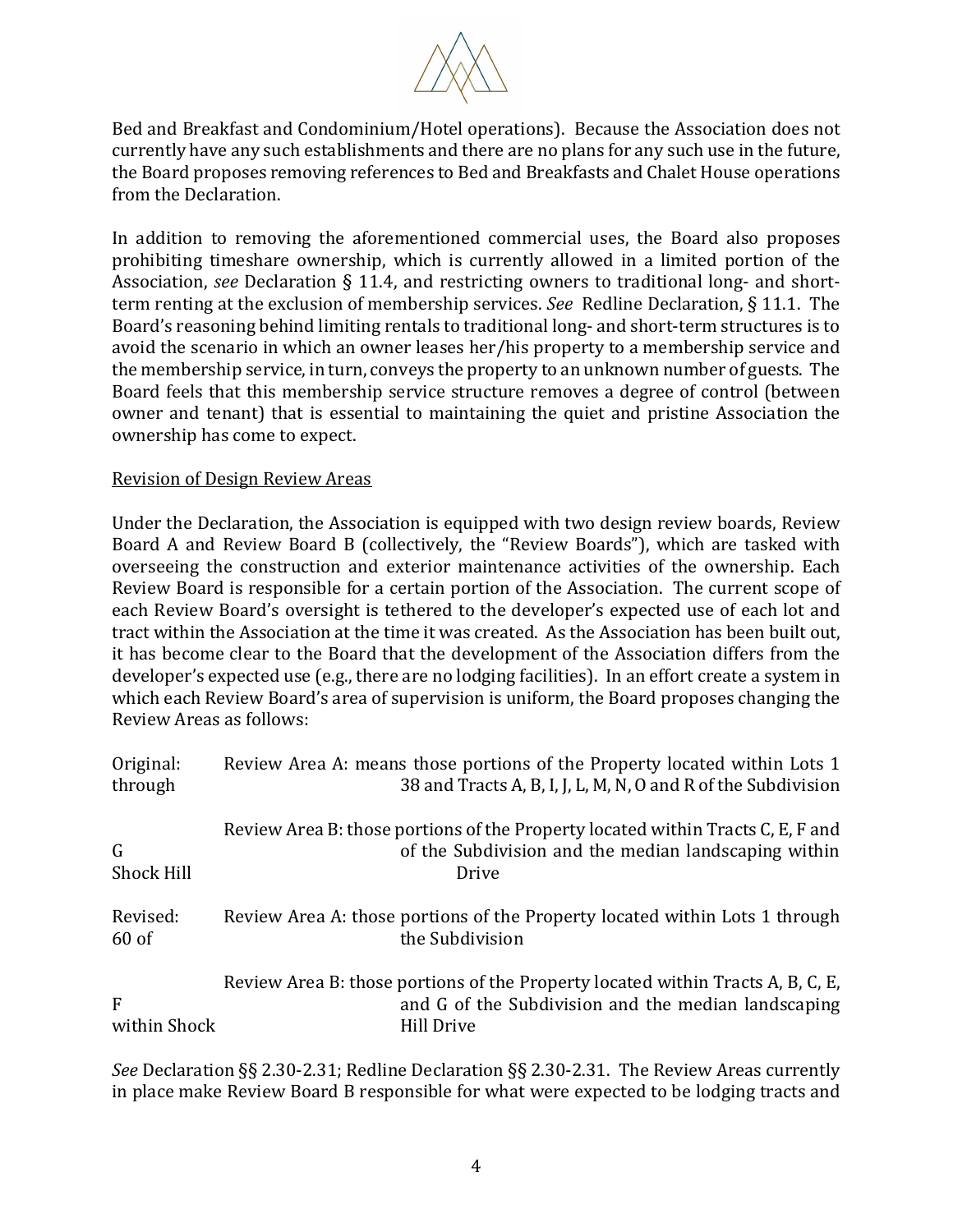

Bed and Breakfast and Condominium/Hotel operations). Because the Association does not currently have any such establishments and there are no plans for any such use in the future, the Board proposes removing references to Bed and Breakfasts and Chalet House operations from the Declaration.

In addition to removing the aforementioned commercial uses, the Board also proposes prohibiting timeshare ownership, which is currently allowed in a limited portion of the Association, *see* Declaration § 11.4, and restricting owners to traditional long- and shortterm renting at the exclusion of membership services. *See* Redline Declaration, § 11.1. The Board's reasoning behind limiting rentals to traditional long- and short-term structures is to avoid the scenario in which an owner leases her/his property to a membership service and the membership service, in turn, conveys the property to an unknown number of guests. The Board feels that this membership service structure removes a degree of control (between owner and tenant) that is essential to maintaining the quiet and pristine Association the ownership has come to expect.

### Revision of Design Review Areas

Under the Declaration, the Association is equipped with two design review boards, Review Board A and Review Board B (collectively, the "Review Boards"), which are tasked with overseeing the construction and exterior maintenance activities of the ownership. Each Review Board is responsible for a certain portion of the Association. The current scope of each Review Board's oversight is tethered to the developer's expected use of each lot and tract within the Association at the time it was created. As the Association has been built out, it has become clear to the Board that the development of the Association differs from the developer's expected use (e.g., there are no lodging facilities). In an effort create a system in which each Review Board's area of supervision is uniform, the Board proposes changing the Review Areas as follows:

| Original:<br>through | Review Area A: means those portions of the Property located within Lots 1<br>38 and Tracts A, B, I, J, L, M, N, O and R of the Subdivision           |
|----------------------|------------------------------------------------------------------------------------------------------------------------------------------------------|
| G<br>Shock Hill      | Review Area B: those portions of the Property located within Tracts C, E, F and<br>of the Subdivision and the median landscaping within<br>Drive     |
| Revised:<br>$60$ of  | Review Area A: those portions of the Property located within Lots 1 through<br>the Subdivision                                                       |
| F<br>within Shock    | Review Area B: those portions of the Property located within Tracts A, B, C, E,<br>and G of the Subdivision and the median landscaping<br>Hill Drive |

*See* Declaration §§ 2.30-2.31; Redline Declaration §§ 2.30-2.31. The Review Areas currently in place make Review Board B responsible for what were expected to be lodging tracts and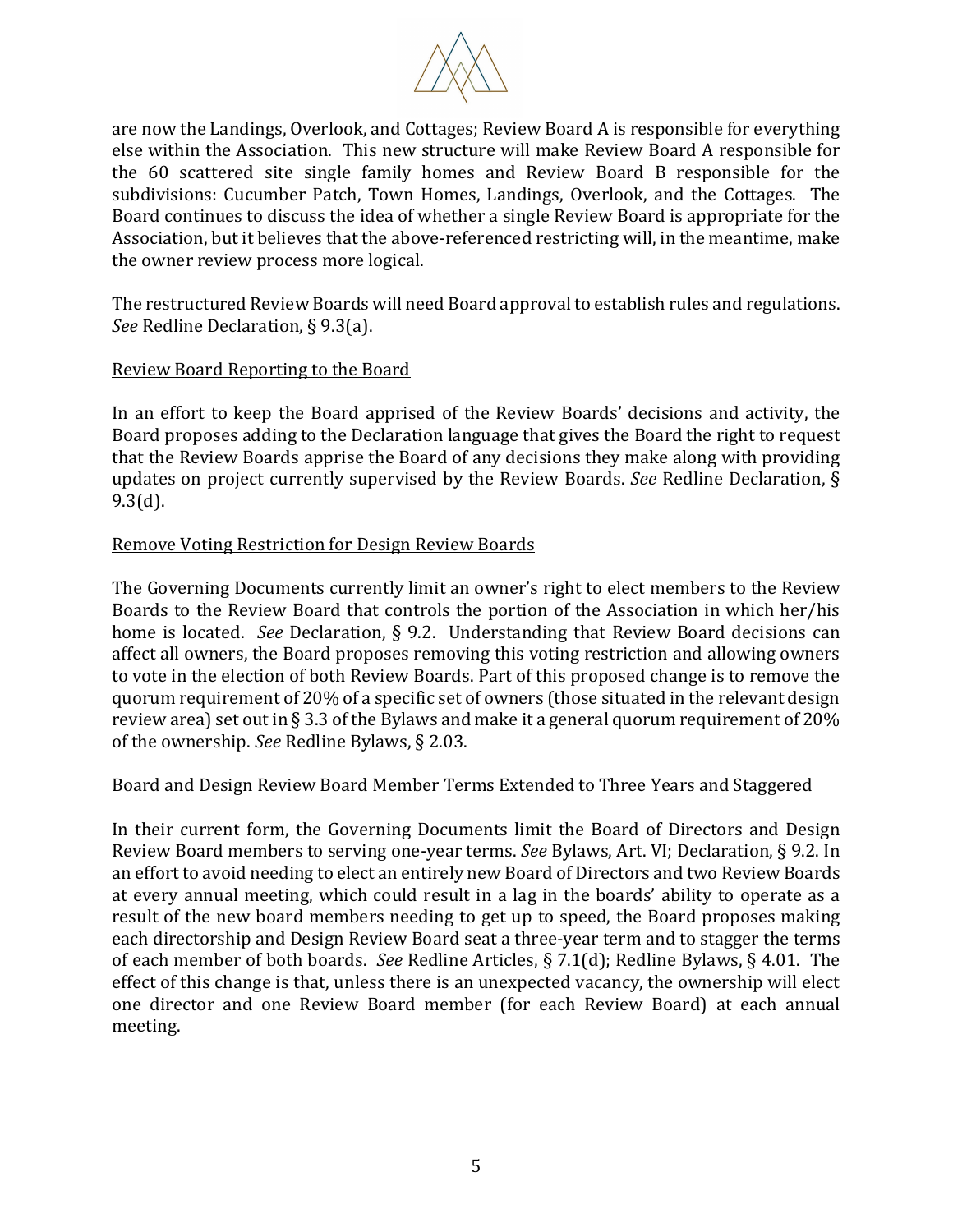

are now the Landings, Overlook, and Cottages; Review Board A is responsible for everything else within the Association. This new structure will make Review Board A responsible for the 60 scattered site single family homes and Review Board B responsible for the subdivisions: Cucumber Patch, Town Homes, Landings, Overlook, and the Cottages. The Board continues to discuss the idea of whether a single Review Board is appropriate for the Association, but it believes that the above-referenced restricting will, in the meantime, make the owner review process more logical.

The restructured Review Boards will need Board approval to establish rules and regulations. *See* Redline Declaration, § 9.3(a).

### Review Board Reporting to the Board

In an effort to keep the Board apprised of the Review Boards' decisions and activity, the Board proposes adding to the Declaration language that gives the Board the right to request that the Review Boards apprise the Board of any decisions they make along with providing updates on project currently supervised by the Review Boards. *See* Redline Declaration, § 9.3(d).

### Remove Voting Restriction for Design Review Boards

The Governing Documents currently limit an owner's right to elect members to the Review Boards to the Review Board that controls the portion of the Association in which her/his home is located. *See* Declaration, § 9.2. Understanding that Review Board decisions can affect all owners, the Board proposes removing this voting restriction and allowing owners to vote in the election of both Review Boards. Part of this proposed change is to remove the quorum requirement of 20% of a specific set of owners (those situated in the relevant design review area) set out in § 3.3 of the Bylaws and make it a general quorum requirement of 20% of the ownership. *See* Redline Bylaws, § 2.03.

#### Board and Design Review Board Member Terms Extended to Three Years and Staggered

In their current form, the Governing Documents limit the Board of Directors and Design Review Board members to serving one-year terms. *See* Bylaws, Art. VI; Declaration, § 9.2. In an effort to avoid needing to elect an entirely new Board of Directors and two Review Boards at every annual meeting, which could result in a lag in the boards' ability to operate as a result of the new board members needing to get up to speed, the Board proposes making each directorship and Design Review Board seat a three-year term and to stagger the terms of each member of both boards. *See* Redline Articles, § 7.1(d); Redline Bylaws, § 4.01. The effect of this change is that, unless there is an unexpected vacancy, the ownership will elect one director and one Review Board member (for each Review Board) at each annual meeting.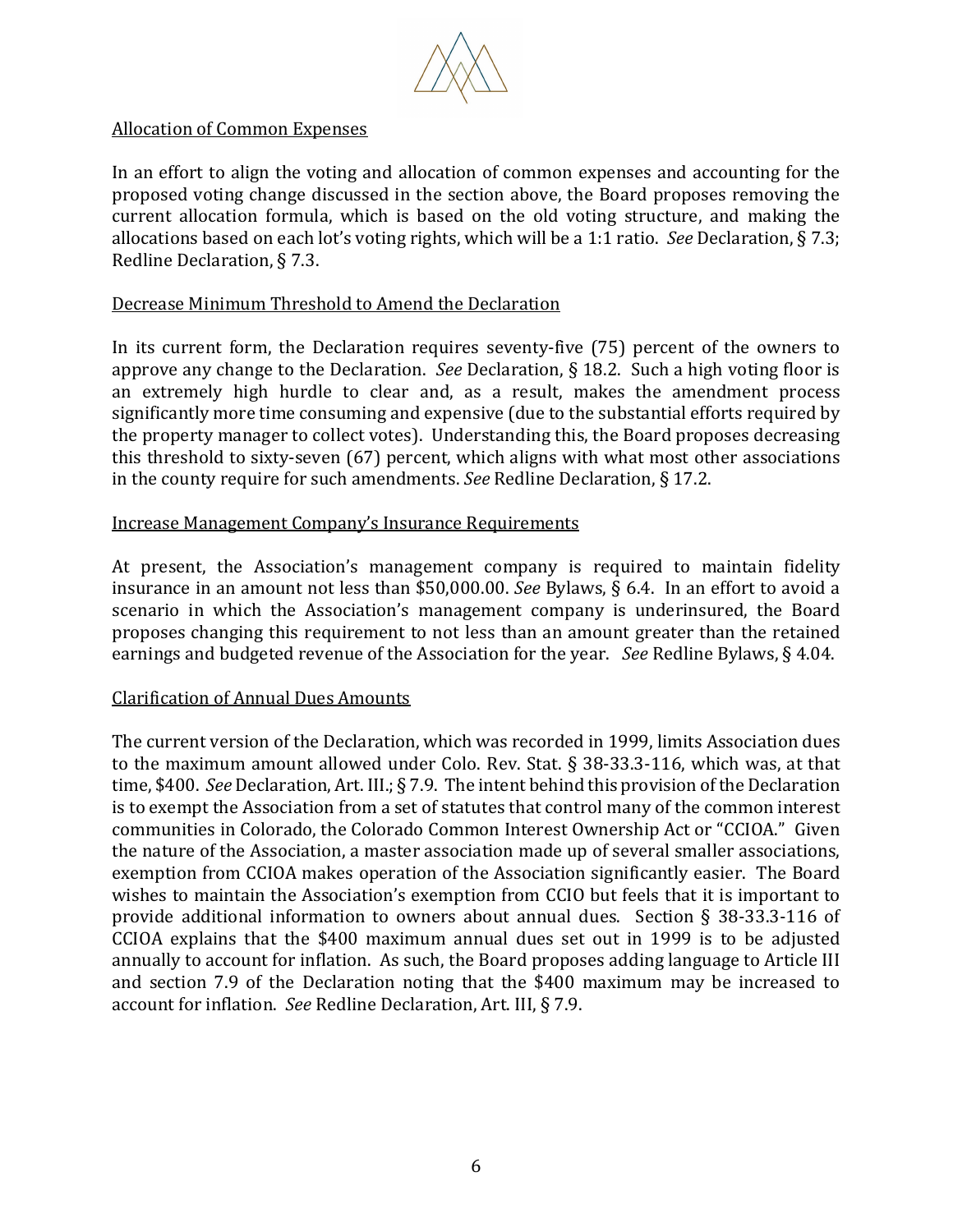

# Allocation of Common Expenses

In an effort to align the voting and allocation of common expenses and accounting for the proposed voting change discussed in the section above, the Board proposes removing the current allocation formula, which is based on the old voting structure, and making the allocations based on each lot's voting rights, which will be a 1:1 ratio. *See* Declaration, § 7.3; Redline Declaration, § 7.3.

#### Decrease Minimum Threshold to Amend the Declaration

In its current form, the Declaration requires seventy-five (75) percent of the owners to approve any change to the Declaration. *See* Declaration, § 18.2. Such a high voting floor is an extremely high hurdle to clear and, as a result, makes the amendment process significantly more time consuming and expensive (due to the substantial efforts required by the property manager to collect votes). Understanding this, the Board proposes decreasing this threshold to sixty-seven (67) percent, which aligns with what most other associations in the county require for such amendments. *See* Redline Declaration, § 17.2.

### Increase Management Company's Insurance Requirements

At present, the Association's management company is required to maintain fidelity insurance in an amount not less than \$50,000.00. *See* Bylaws, § 6.4. In an effort to avoid a scenario in which the Association's management company is underinsured, the Board proposes changing this requirement to not less than an amount greater than the retained earnings and budgeted revenue of the Association for the year. *See* Redline Bylaws, § 4.04.

#### Clarification of Annual Dues Amounts

The current version of the Declaration, which was recorded in 1999, limits Association dues to the maximum amount allowed under Colo. Rev. Stat. § 38-33.3-116, which was, at that time, \$400. *See* Declaration, Art. III.; § 7.9. The intent behind this provision of the Declaration is to exempt the Association from a set of statutes that control many of the common interest communities in Colorado, the Colorado Common Interest Ownership Act or "CCIOA." Given the nature of the Association, a master association made up of several smaller associations, exemption from CCIOA makes operation of the Association significantly easier. The Board wishes to maintain the Association's exemption from CCIO but feels that it is important to provide additional information to owners about annual dues. Section § 38-33.3-116 of CCIOA explains that the \$400 maximum annual dues set out in 1999 is to be adjusted annually to account for inflation. As such, the Board proposes adding language to Article III and section 7.9 of the Declaration noting that the \$400 maximum may be increased to account for inflation. *See* Redline Declaration, Art. III, § 7.9.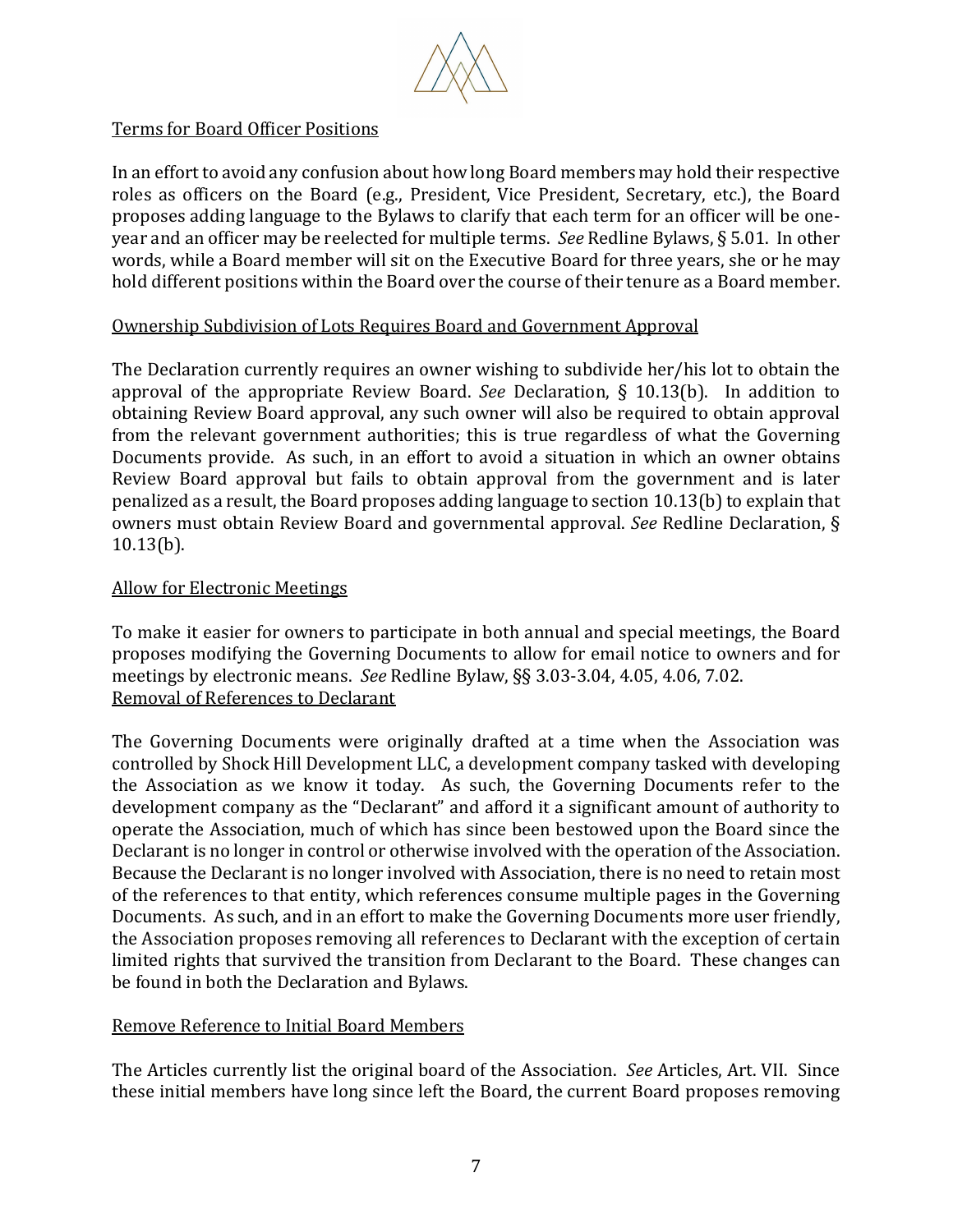

# Terms for Board Officer Positions

In an effort to avoid any confusion about how long Board members may hold their respective roles as officers on the Board (e.g., President, Vice President, Secretary, etc.), the Board proposes adding language to the Bylaws to clarify that each term for an officer will be oneyear and an officer may be reelected for multiple terms. *See* Redline Bylaws, § 5.01. In other words, while a Board member will sit on the Executive Board for three years, she or he may hold different positions within the Board over the course of their tenure as a Board member.

# Ownership Subdivision of Lots Requires Board and Government Approval

The Declaration currently requires an owner wishing to subdivide her/his lot to obtain the approval of the appropriate Review Board. *See* Declaration, § 10.13(b). In addition to obtaining Review Board approval, any such owner will also be required to obtain approval from the relevant government authorities; this is true regardless of what the Governing Documents provide. As such, in an effort to avoid a situation in which an owner obtains Review Board approval but fails to obtain approval from the government and is later penalized as a result, the Board proposes adding language to section 10.13(b) to explain that owners must obtain Review Board and governmental approval. *See* Redline Declaration, § 10.13(b).

# Allow for Electronic Meetings

To make it easier for owners to participate in both annual and special meetings, the Board proposes modifying the Governing Documents to allow for email notice to owners and for meetings by electronic means. *See* Redline Bylaw, §§ 3.03-3.04, 4.05, 4.06, 7.02. Removal of References to Declarant

The Governing Documents were originally drafted at a time when the Association was controlled by Shock Hill Development LLC, a development company tasked with developing the Association as we know it today. As such, the Governing Documents refer to the development company as the "Declarant" and afford it a significant amount of authority to operate the Association, much of which has since been bestowed upon the Board since the Declarant is no longer in control or otherwise involved with the operation of the Association. Because the Declarant is no longer involved with Association, there is no need to retain most of the references to that entity, which references consume multiple pages in the Governing Documents. As such, and in an effort to make the Governing Documents more user friendly, the Association proposes removing all references to Declarant with the exception of certain limited rights that survived the transition from Declarant to the Board. These changes can be found in both the Declaration and Bylaws.

# Remove Reference to Initial Board Members

The Articles currently list the original board of the Association. *See* Articles, Art. VII. Since these initial members have long since left the Board, the current Board proposes removing